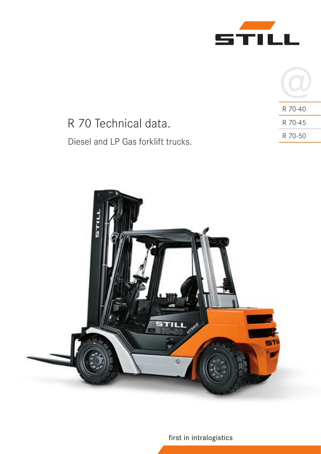

|                                    | R 70-40 |
|------------------------------------|---------|
| R 70 Technical data.               | R 70-45 |
| Diesel and LP Gas forklift trucks. | R 70-50 |
|                                    |         |



first in intralogistics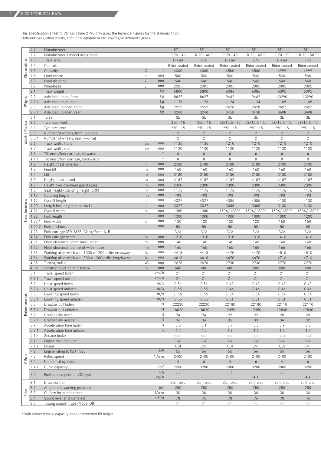This specification sheet to VDI Guideline 2198 only gives the technical figures for the standard truck. Different tyres, other masts, additional equipment etc. could give different figures.

|                  | 1.1          | Manufacturer                                                |                          |                  | <b>STILL</b>   | STILL          | <b>STILL</b>   | <b>STILL</b>   | <b>STILL</b>   | <b>STILL</b>   |
|------------------|--------------|-------------------------------------------------------------|--------------------------|------------------|----------------|----------------|----------------|----------------|----------------|----------------|
|                  | 1.2          | Manufacturer's model designation                            |                          |                  | R 70 - 40      | R 70 - 40 T    | R 70 - 45      | R 70 - 45 T    | R 70 - 50      | R 70 - 50 T    |
|                  | 1.3          | Truck type                                                  |                          |                  | Diesel         | LPG            | Diesel         | LPG            | Diesel         | LPG            |
|                  | 1.4          | Controls                                                    |                          |                  | Rider seated   | Rider seated   | Rider seated   | Rider seated   | Rider seated   | Rider seated   |
| Characteristics  | 1.5          | Capacity                                                    | $\Omega$                 |                  | 4000           | 4000           | 4500           | 4500           | 4999           | 4999           |
|                  | 1.6          | Load centre                                                 | $\mathsf C$              | mm               | 500            | 500            | 500            | 500            | 500            | 500            |
|                  | 1.8          | Load distance                                               | $\overline{X}$           | mm               | 540            | 540            | 540            | 540            | 540            | 540            |
|                  | 1.9          | Wheelbase                                                   | $\vee$                   | mm               | 2005           | 2005           | 2005           | 2005           | 2005           | 2005           |
|                  | 2.1          | Truck weight                                                |                          | kg               | 5800           | 5800           | 6086           | 6086           | 6395           | 6395           |
|                  | 2.2          | Axle load laden, front                                      |                          | kg               | 8627           | 8627           | 9462           | 9462           | 10290          | 10290          |
| Weights          | 2.2.1        | Axle load laden, rear                                       |                          | kg               | 1173           | 1173           | 1124           | 1124           | 1105           | 1105           |
|                  | 2.3          | Axle load unladen, front                                    |                          | kg               | 2552           | 2552           | 2628           | 2628           | 2697           | 2697           |
|                  | 2.3.1        | Axle load unladen, rear                                     |                          | kg               | 3248           | 3248           | 3458           | 3458           | 3698           | 3698           |
|                  | 3.1          | Tyres                                                       |                          |                  | SE             | <b>SE</b>      | SE             | SE             | SE             | SE             |
|                  | 3.2          | Tyre size, front                                            |                          |                  | $250 - 15$     | $250 - 15$     | $28x12.5 - 15$ | $28x12.5 - 15$ | $28x12.5 - 15$ | $28x12.5 - 15$ |
| Wheels   Chassis | 3.3          | Tyre size, rear                                             |                          |                  | $250 - 15$     | $250 - 15$     | $250 - 15$     | $250 - 15$     | $250 - 15$     | $250 - 15$     |
|                  | 3.5          | Number of wheels, front (x=drive)                           |                          |                  | $\overline{2}$ | $\overline{2}$ | $\overline{2}$ | $\overline{2}$ | $\overline{2}$ | $\overline{2}$ |
|                  | 3.5.1        | Number of wheels, rear (x=drive)                            |                          |                  | $\mathbf{2}$   | $\mathbf{2}$   | $\mathbf{2}$   | $\mathbf{2}$   | $\mathbf{2}$   | $\mathbf{2}$   |
|                  | 3.6          | Track width, front                                          | $b_{10}$                 | mm               | 1136           | 1136           | 1210           | 1210           | 1210           | 1210           |
|                  | 3.7          | Track width, rear                                           | $b_{11}$                 | mm               | 1120           | 1120           | 1120           | 1120           | 1120           | 1120           |
|                  | 4.1          | Tilt mast/fork carriage, forwards                           |                          | $\circ$          | 6              | 6              | 6              | 6              | 6              | 6              |
|                  | 4.1.1        | Tilt mast/fork carriage, backwards                          |                          | $\circ$          | 8              | 8              | 8              | 8              | 8              | 8              |
|                  | 4.2          | Height, mast lowered                                        | h <sub>1</sub>           | mm               | 2400           | 2400           | 2400           | 2400           | 2400           | 2400           |
|                  | 4.3          | Free lift                                                   | h <sub>2</sub>           | mm               | 160            | 160            | 160            | 160            | 160            | 160            |
|                  | 4.4          | Lift                                                        | h <sub>3</sub>           | mm               | 3180           | 3180           | 3180           | 3180           | 3180           | 3180           |
|                  | 4.5          | Height, mast raised                                         | h <sub>4</sub>           | mm               | 4187           | 4187           | 4187           | 4187           | 4187           | 4187           |
|                  | 4.7          | Height over overhead guard (cab)                            | h <sub>6</sub>           | mm               | 2300           | 2300           | 2300           | 2300           | 2300           | 2300           |
|                  | 4.8          | Seat height/Standing height (SRP)                           | h <sub>7</sub>           | mm               | 1176           | 1176           | 1176           | 1176           | 1176           | 1176           |
|                  | 4.12         | Coupling height                                             | $h_{10}$<br>$\mathbf{I}$ | mm<br>mm         | 493            | 493            | 493            | 493<br>4085    | 493            | 493            |
|                  | 4.19<br>4.20 | Overall length                                              | $\vert$ <sub>2</sub>     | mm               | 4027<br>3027   | 4027<br>3027   | 4085<br>3085   | 3085           | 4130<br>3130   | 4130<br>3130   |
|                  | 4.21         | Length including fork backs L <sub>2</sub><br>Overall width | b <sub>1</sub>           | mm               | 1380           | 1380           | 1506/1380*     | 1506/1380*     | 1506/1380*     | 1506/1380*     |
| Basic dimensions | 4.22         | Fork length                                                 |                          | mm               | 1000           | 1000           | 1000           | 1000           | 1000           | 1200           |
|                  | 4.22.1       | Fork width                                                  | е                        | mm               | 120            | 120            | 120            | 120            | 150            | 150            |
|                  | 4.22.2       | Fork thickness                                              | S                        | mm               | 50             | 50             | 50             | 50             | 50             | 50             |
|                  | 4.23         | Fork carriage ISO 2328, Class/Form A, B                     |                          |                  | 3/A            | 3/A            | 3/A            | 3/A            | 3/A            | 3/A            |
|                  | 4.24         | Fork carriage width                                         | b <sub>3</sub>           | mm               | 1310           | 1310           | 1310           | 1310           | 1410           | 1410           |
|                  | 4.31         | Floor clearance under mast, laden                           | m <sub>1</sub>           | mm               | 140            | 140            | 140            | 140            | 140            | 140            |
|                  | 4.32         | Floor clearance, centre of wheel-base                       | m <sub>2</sub>           | mm               | 165            | 165            | 165            | 165            | 165            | 165            |
|                  | 4.33         | Working aisle width with 1000 x 1200 pallet crossways       | A <sub>st</sub>          | mm               | 4418           | 4418           | 4470           | 4470           | 4510           | 4510           |
|                  | 4.34         | Working aisle width with 800 x 1200 pallet lengthways       | A <sub>st</sub>          | mm               | 4618           | 4618           | 4670           | 4670           | 4710           | 4710           |
|                  | 4.35         | Turning radius                                              | W <sub>a</sub>           | mm               | 2678           | 2678           | 2730           | 2730           | 2770           | 2770           |
|                  | 4.36         | Smallest pivot point distance                               | $b_{13}$                 | mm               | 680            | 680            | 680            | 680            | 680            | 680            |
|                  | 5.1          | Travel speed laden                                          |                          | km/h             | 21             | 21             | 21             | 21             | 21             | 21             |
|                  | 5.1.1        | Travel speed unladen                                        |                          | km/h             | 21             | 21             | 21             | 21             | 21             | 21             |
|                  | 5.2          | Hoist speed laden                                           |                          | m/s              | 0.51           | 0.51           | 0.43           | 0.43           | 0.43           | 0.43           |
|                  | 5.2.1        | Hoist speed unladen                                         |                          | $\overline{m/s}$ | 0.55           | 0.55           | 0.46           | 0.46           | 0.46           | 0.46           |
| Performance data | 5.3          | Lowering speed laden                                        |                          | m/s              | 0.56           | 0.56           | 0.54           | 0.54           | 0.54           | 0.54           |
|                  | 5.3.1        | Lowering speed unladen                                      |                          | m/s<br>Ν         | 0.55           | 0.55           | 0.51           | 0.51           | 0.51           | 0.51           |
|                  | 5.5          | Drawbar pull laden                                          |                          | $\mathsf N$      | 22230          | 22230          | 22180          | 22180          | 22110          | 22110          |
|                  | 5.5.1<br>5.7 | Drawbar pull unladen<br>Gradeability laden                  |                          | $\%$             | 18820<br>24    | 18820          | 19350<br>22    | 19350<br>22    | 19830<br>20    | 19830          |
|                  | 5.7.1        | Gradeability unladen                                        |                          | $\%$             | 36             | 24<br>34       | 35             | 33             | 34             | 20<br>32       |
|                  | 5.9          | Acceleration time laden                                     |                          | $\mathbb S$      | 5.5            | 5.1            | 5.7            | 5.3            | 5.9            | 5.5            |
|                  | 5.9.1        | Acceleration time unladen                                   |                          | $\mathsf S$      | 4.7            | 4.5            | 4.8            | 4.6            | 4.9            | 4.7            |
|                  | 5.10         | Service brake                                               |                          |                  | mech           | mech           | mech           | mech           | mech           | mech           |
|                  | 7.1          | Engine manufacturer                                         |                          |                  | VW             | <b>VW</b>      | VW             | <b>VW</b>      | VW             | VW             |
|                  | 7.1.1        | Model                                                       |                          |                  | <b>CBJ</b>     | <b>BMF</b>     | <b>CBJ</b>     | <b>BMF</b>     | CBJ            | <b>BMF</b>     |
|                  | 7.2          | Engine rating to ISO 1585                                   |                          | kW               | 55             | 56             | 55             | 56             | 55             | 56             |
|                  | 7.3          | Rated speed                                                 |                          | 1/min            | 2400           | 2400           | 2400           | 2400           | 2400           | 2400           |
| V-Motor          | 7.4          | Number of cylinders                                         |                          |                  | $\overline{4}$ | 6              | $\overline{4}$ | 6              | $\overline{4}$ | 6              |
|                  | 7.4.1        | Cubic capacity                                              |                          | cm <sup>3</sup>  | 2000           | 3200           | 2000           | 3200           | 2000           | 3200           |
|                  |              |                                                             |                          | 1/h              | 3.3            |                | 3.6            |                | 3.8            |                |
|                  | 7.5          | Fuel consumption to VDI cycle                               |                          | kg/h             |                | 3.8            |                | 4.1            |                | 4.4            |
|                  | 8.1          | Drive control                                               |                          |                  | Stilltronic    | Stilltronic    | Stilltronic    | Stilltronic    | Stilltronic    | Stilltronic    |
|                  | 8.2          | Attachment working pressure                                 |                          | bar              | 250            | 250            | 250            | 250            | 250            | 250            |
| Other            | 8.3          | Oil flow for attachments                                    |                          | 1/min            | 30             | 30             | 30             | 30             | 30             | 30             |
|                  | 8.4          | Sound level at driver's ear                                 |                          | dB(A)            | 78             | 76             | $78\,$         | $76\,$         | 78             | 76             |
|                  | 8.5          | Towing coupler Type/Model DIN                               |                          |                  | Pin            | Pin            | Pin            | Pin            | Pin            | Pin            |

\* with reduced basic capacity and/or restricted lift height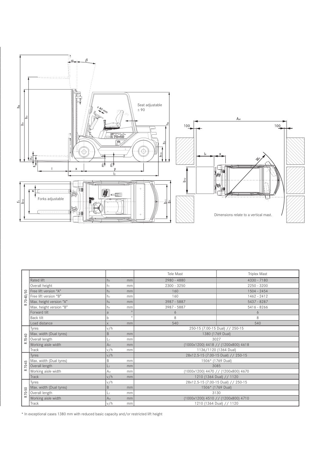

|                          |                         |                 |         | Tele Mast                           | <b>Triplex Mast</b> |  |  |  |
|--------------------------|-------------------------|-----------------|---------|-------------------------------------|---------------------|--|--|--|
| ន<br>70-40/<br>$\propto$ | <b>Rated lift</b>       | h <sub>3</sub>  | mm      | 2980 - 4880                         | $4330 - 7180$       |  |  |  |
|                          | Overall height          | h1              | mm      | $2300 - 3250$                       | $2250 - 3200$       |  |  |  |
|                          | Free lift version "A"   | h <sub>2</sub>  | mm      | 160                                 | 1504 - 2454         |  |  |  |
|                          | Free lift version "B"   | h <sub>2</sub>  | mm      | 160                                 | $1462 - 2412$       |  |  |  |
|                          | Max. height version "A" | h <sub>4</sub>  | mm      | 3987 - 5887                         | 5437 - 8287         |  |  |  |
|                          | Max. height version "B" | h <sub>4</sub>  | mm      | 3987 - 5887                         | $5416 - 8266$       |  |  |  |
|                          | Forward tilt            | a               | $\circ$ | 6                                   | 6                   |  |  |  |
|                          | Back tilt               | b               | $\circ$ | 8                                   | 8                   |  |  |  |
|                          | Load distance           | $\times$        | mm      | 540                                 | 540                 |  |  |  |
|                          | Tyres                   | v/h             |         | 250-15 (7.00-15 Dual) // 250-15     |                     |  |  |  |
| 70-40<br>$\propto$       | Max. width (Dual tyres) | B               | mm      | 1380 (1769 Dual)                    |                     |  |  |  |
|                          | Overall length          | L2              | mm      | 3027                                |                     |  |  |  |
|                          | Working aisle width     | A <sub>st</sub> | mm      | (1000x1200) 4418 // (1200x800) 4618 |                     |  |  |  |
|                          | Track                   | v/h             | mm      | 1136/1120 (1364 Dual)               |                     |  |  |  |
|                          | Tyres                   | v/h             |         | 28x12.5-15 (7.00-15 Dual) // 250-15 |                     |  |  |  |
|                          | Max. width (Dual tyres) | B               | mm      | 1506* (1769 Dual)                   |                     |  |  |  |
| 70-45                    | Overall length          | L <sub>2</sub>  | mm      | 3085                                |                     |  |  |  |
| $\approx$                | Working aisle width     | Ast             | mm      | (1000x1200) 4470 // (1200x800) 4670 |                     |  |  |  |
|                          | Track                   | v/h             | mm      | 1210 (1364 Dual) // 1120            |                     |  |  |  |
|                          | Tyres                   | v/h             |         | 28x12.5-15 (7.00-15 Dual) // 250-15 |                     |  |  |  |
|                          | Max. width (Dual tyres) | B               | mm      | 1506* (1769 Dual)                   |                     |  |  |  |
| 70-50<br>$\approx$       | Overall length          | L2              | mm      | 3130                                |                     |  |  |  |
|                          | Working aisle width     | A <sub>st</sub> | mm      | (1000x1200) 4510 // (1200x800) 4710 |                     |  |  |  |
|                          | Track                   | v/h             | mm      | 1210 (1364 Dual) // 1120            |                     |  |  |  |

\* In exceptional cases 1380 mm with reduced basic capacity and/or restricted lift height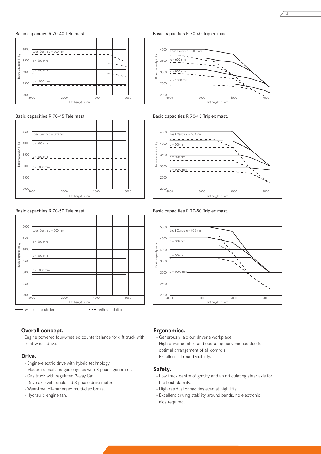



#### Basic capacities R 70-45 Tele mast.



### Basic capacities R 70-50 Tele mast.



#### **Overall concept.**

Engine powered four-wheeled counterbalance forklift truck with front wheel drive.

#### **Drive.**

- Engine-electric drive with hybrid technology.
- Modern diesel and gas engines with 3-phase generator.
- Gas truck with regulated 3-way Cat.
- Drive axle with enclosed 3-phase drive motor.
- Wear-free, oil-immersed multi-disc brake.
- Hydraulic engine fan.

#### Basic capacities R 70-40 Triplex mast.



Basic capacities R 70-45 Triplex mast.





# Basic capacities R 70-50 Triplex mast.

# **Ergonomics.**

- Generously laid out driver's workplace.
- High driver comfort and operating convenience due to
- optimal arrangement of all controls.
- Excellent all-round visibility.

#### **Safety.**

- Low truck centre of gravity and an articulating steer axle for the best stability.
- High residual capacities even at high lifts.
- Excellent driving stability around bends, no electronic aids required.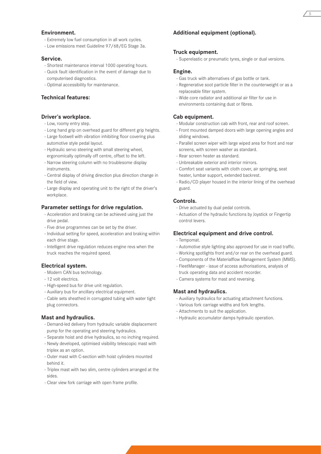## **Environment.**

- Extremely low fuel consumption in all work cycles.
- Low emissions meet Guideline 97/68/EG Stage 3a.

#### **Service.**

- Shortest maintenance interval 1000 operating hours.
- Quick fault identification in the event of damage due to computerised diagnostics.
- Optimal accessibility for maintenance.

# **Technical features:**

## **Driver's workplace.**

- Low, roomy entry step.
- Long hand grip on overhead guard for different grip heights.
- Large footwell with vibration inhibiting floor covering plus automotive style pedal layout.
- Hydraulic servo steering with small steering wheel, ergonomically optimally off centre, offset to the left.
- Narrow steering column with no troublesome display instruments.
- Central display of driving direction plus direction change in the field of view.
- Large display and operating unit to the right of the driver's workplace.

# **Parameter settings for drive regulation.**

- Acceleration and braking can be achieved using just the drive pedal.
- Five drive programmes can be set by the driver.
- Individual setting for speed, acceleration and braking within each drive stage.
- Intelligent drive regulation reduces engine revs when the truck reaches the required speed.

#### **Electrical system.**

- Modern CAN bus technology.
- 12 volt electrics.
- High-speed bus for drive unit regulation.
- Auxiliary bus for ancillary electrical equipment.
- Cable sets sheathed in corrugated tubing with water tight plug connectors.

#### **Mast and hydraulics.**

- Demand-led delivery from hydraulic variable displacement pump for the operating and steering hydraulics.
- Separate hoist and drive hydraulics, so no inching required.
- Newly developed, optimised visibility telescopic mast with triplex as an option.
- Outer mast with C-section with hoist cylinders mounted behind it.
- Triplex mast with two slim, centre cylinders arranged at the sides.
- Clear view fork carriage with open frame profile.

# **Additional equipment (optional).**

# **Truck equipment.**

- Superelastic or pneumatic tyres, single or dual versions.

#### **Engine.**

- Gas truck with alternatives of gas bottle or tank.
- Regenerative soot particle filter in the counterweight or as a replaceable filter system.
- Wide core radiator and additional air filter for use in environments containing dust or fibres.

# **Cab equipment.**

- Modular construction cab with front, rear and roof screen.
- Front mounted damped doors with large opening angles and sliding windows.
- Parallel screen wiper with large wiped area for front and rear screens, with screen washer as standard.
- Rear screen heater as standard.
- Unbreakable exterior and interior mirrors.
- Comfort seat variants with cloth cover, air springing, seat heater, lumbar support, extended backrest.
- Radio/CD player housed in the interior lining of the overhead guard.

#### **Controls.**

- Drive actuated by dual pedal controls.
- Actuation of the hydraulic functions by Joystick or Fingertip control levers.

#### **Electrical equipment and drive control.**

- Tempomat.
- Automotive style lighting also approved for use in road traffic.
- Working spotlights front and/or rear on the overhead guard.
- Components of the Materialflow Management System (MMS).
- FleetManager issue of access authorisations, analysis of truck operating data and accident recorder.
- Camera systems for mast and reversing.

# **Mast and hydraulics.**

- Auxiliary hydraulics for actuating attachment functions.
- Various fork carriage widths and fork lengths.
- Attachments to suit the application.
- Hydraulic accumulator damps hydraulic operation.